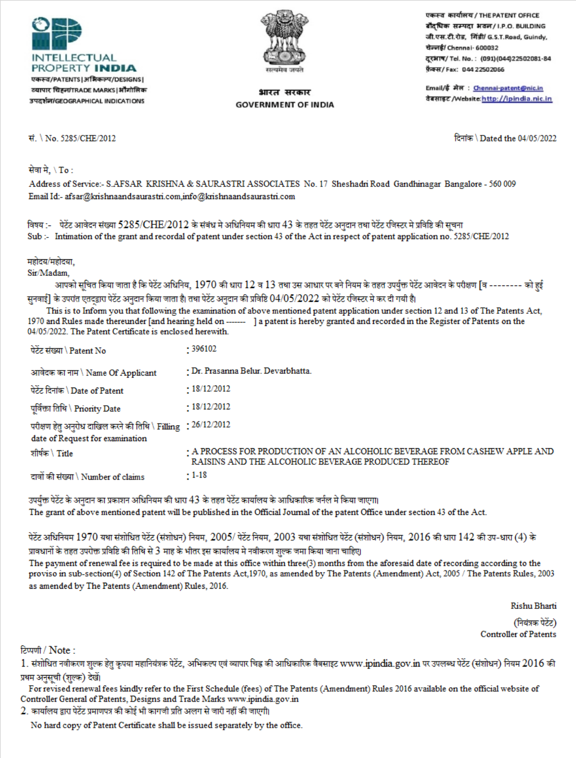



## भारत सरकार **GOVERNMENT OF INDIA**

एकस्व कार्यालय / THE PATENT OFFICE बौदधिक सम्पदा भवन/I.P.O. BUILDING जी.एस.टी.रोड, गिंडी/ G.S.T.Road, Guindy, चेन्नई/ Chennai- 600032 दूरभाष/ Tel. No.: (091)(044)22502081-84 फ़ैक्स/Fax: 044 22502066

Email/ई मेल : Chennai-patent@nic.in तेबसाइट /Website: http://ipindia.nic.in

## सं. \ No. 5285/CHE/2012

दिनांक \ Dated the 04/05/2022

सेवा मे, \ To :

Address of Service:- S.AFSAR KRISHNA & SAURASTRI ASSOCIATES No. 17 Sheshadri Road Gandhinagar Bangalore - 560 009 Email Id:- afsar@krishnaandsaurastri.com.info@krishnaandsaurastri.com

विषय :- पेटेंट आवेदन संख्या 5285/CHE/2012 के संबंध मे अधिनियम की धारा 43 के तहत पेटेंट अनुदान तथा पेटेंट रजिस्टर मे प्रविष्टि की सूचना Sub :- Intimation of the grant and recordal of patent under section 43 of the Act in respect of patent application no. 5285/CHE/2012

महोदय/महोदया.

Sir/Madam.

आपको सूचित किया जाता है कि पेटेंट अधिनिय, 1970 की धारा 12 व 13 तथा उस आधार पर बने नियम के तहत उपर्युक्त पेटेंट आवेदन के परीक्षण [व ------- को हुई सुनवाई] के उपरांत एतदद्वारा पेटेंट अनुदान किया जाता है। तथा पेटेंट अनुदान की प्रविष्टि 04/05/2022 को पेटेंट रजिस्टर मे कर दी गयी है।

This is to Inform you that following the examination of above mentioned patent application under section 12 and 13 of The Patents Act, 1970 and Rules made thereunder [and hearing held on ------- ] a patent is hereby granted and recorded in the Register of Patents on the 04/05/2022. The Patent Certificate is enclosed herewith.

| पेटेंट संख्या \ Patent No                                                                        | · 396102                                                                                                                         |
|--------------------------------------------------------------------------------------------------|----------------------------------------------------------------------------------------------------------------------------------|
| आवेदक का नाम \ Name Of Applicant                                                                 | · Dr. Prasanna Belur. Devarbhatta.                                                                                               |
| पेटेंट दिनांक \ Date of Patent                                                                   | $-18/12/2012$                                                                                                                    |
| पर्विक्ता तिथि \ Priority Date                                                                   | $-18/12/2012$                                                                                                                    |
| परीक्षण हेतु अनुरोध दाखिल करने की तिथि \ Filling : 26/12/2012<br>date of Request for examination |                                                                                                                                  |
| शीर्षक \ Title                                                                                   | : A PROCESS FOR PRODUCTION OF AN ALCOHOLIC BEVERAGE FROM CASHEW APPLE AND<br>RAISINS AND THE ALCOHOLIC BEVERAGE PRODUCED THEREOF |
| दावों की संख्या \ Number of claims                                                               | $: 1-18$                                                                                                                         |

उपर्युक्त पेटेंट के अनुदान का प्रकाशन अधिनियम की धारा 43 के तहत पेटेंट कार्यालय के आधिकारिक जर्नल मे किया जाएगा। The grant of above mentioned patent will be published in the Official Journal of the patent Office under section 43 of the Act.

पेटेंट अधिनियम 1970 यथा संशोधित पेटेंट (संशोधन) नियम, 2005/ पेटेंट नियम, 2003 यथा संशोधित पेटेंट (संशोधन) नियम, 2016 की धारा 142 की उप-धारा (4) के प्रावधानों के तहत उपरोक्त प्रविष्टि की तिथि से 3 माह के भीतर इस कार्यालय मे नवीकरण शुल्क जमा किया जाना चाहिए।

The payment of renewal fee is required to be made at this office within three(3) months from the aforesaid date of recording according to the proviso in sub-section(4) of Section 142 of The Patents Act, 1970, as amended by The Patents (Amendment) Act, 2005 / The Patents Rules, 2003 as amended by The Patents (Amendment) Rules, 2016.

> **Rishu Bharti** (नियंत्रक पेटेंट) **Controller of Patents**

टिप्पणी / Note:

1. संशोधित नवीकरण शुल्क हेतु कृपया महानियंत्रक पेटेंट, अभिकल्प एवं व्यापार चिह्न की आधिकारिक वैबसाइट www.ipindia.gov.in पर उपलब्ध पेटेंट (संशोधन) नियम 2016 की प्रथम अनुसूची (शुल्क) देखें।

For revised renewal fees kindly refer to the First Schedule (fees) of The Patents (Amendment) Rules 2016 available on the official website of Controller General of Patents, Designs and Trade Marks www.ipindia.gov.in

2. कार्यालय द्वारा पेटेंट प्रमाणपत्र की कोई भी कागजी प्रति अलग से जारी नहीं की जाएगी।

No hard copy of Patent Certificate shall be issued separately by the office.